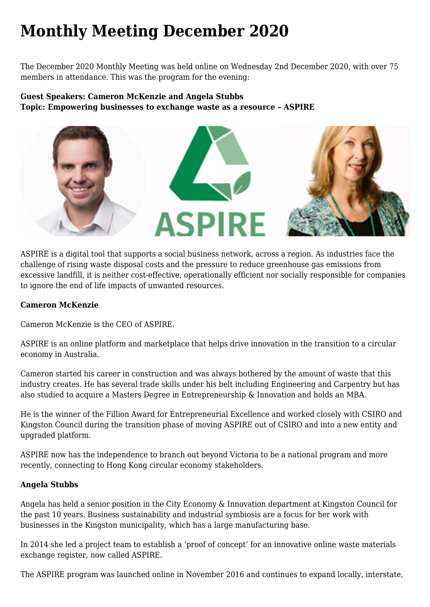# **[Monthly Meeting December 2020](https://www.melbpc.org.au/monthly-meeting-november-2020/)**

The December 2020 Monthly Meeting was held online on Wednesday 2nd December 2020, with over 75 members in attendance. This was the program for the evening:

## **Guest Speakers: Cameron McKenzie and Angela Stubbs Topic: Empowering businesses to exchange waste as a resource – ASPIRE**



ASPIRE is a digital tool that supports a social business network, across a region. As industries face the challenge of rising waste disposal costs and the pressure to reduce greenhouse gas emissions from excessive landfill, it is neither cost-effective, operationally efficient nor socially responsible for companies to ignore the end of life impacts of unwanted resources.

#### **Cameron McKenzie**

Cameron McKenzie is the CEO of ASPIRE.

ASPIRE is an online platform and marketplace that helps drive innovation in the transition to a circular economy in Australia.

Cameron started his career in construction and was always bothered by the amount of waste that this industry creates. He has several trade skills under his belt including Engineering and Carpentry but has also studied to acquire a Masters Degree in Entrepreneurship & Innovation and holds an MBA.

He is the winner of the Fillion Award for Entrepreneurial Excellence and worked closely with CSIRO and Kingston Council during the transition phase of moving ASPIRE out of CSIRO and into a new entity and upgraded platform.

ASPIRE now has the independence to branch out beyond Victoria to be a national program and more recently, connecting to Hong Kong circular economy stakeholders.

#### **Angela Stubbs**

Angela has held a senior position in the City Economy & Innovation department at Kingston Council for the past 10 years. Business sustainability and industrial symbiosis are a focus for her work with businesses in the Kingston municipality, which has a large manufacturing base.

In 2014 she led a project team to establish a 'proof of concept' for an innovative online waste materials exchange register, now called ASPIRE.

The ASPIRE program was launched online in November 2016 and continues to expand locally, interstate,